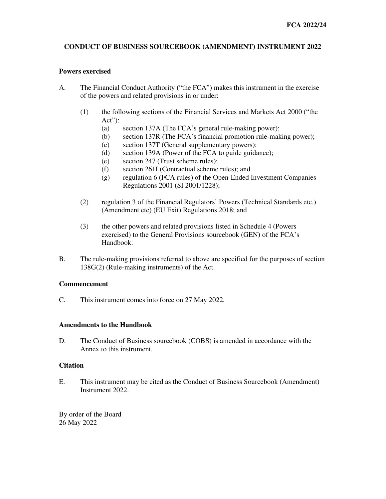## **CONDUCT OF BUSINESS SOURCEBOOK (AMENDMENT) INSTRUMENT 2022**

#### **Powers exercised**

- A. The Financial Conduct Authority ("the FCA") makes this instrument in the exercise of the powers and related provisions in or under:
	- (1) the following sections of the Financial Services and Markets Act 2000 ("the Act"):
		- (a) section 137A (The FCA's general rule-making power);
		- (b) section 137R (The FCA's financial promotion rule-making power);
		- (c) section 137T (General supplementary powers);
		- (d) section 139A (Power of the FCA to guide guidance);
		- (e) section 247 (Trust scheme rules);
		- (f) section 261I (Contractual scheme rules); and
		- (g) regulation 6 (FCA rules) of the Open-Ended Investment Companies Regulations 2001 (SI 2001/1228);
	- (2) regulation 3 of the Financial Regulators' Powers (Technical Standards etc.) (Amendment etc) (EU Exit) Regulations 2018; and
	- (3) the other powers and related provisions listed in Schedule 4 (Powers exercised) to the General Provisions sourcebook (GEN) of the FCA's Handbook.
- B. The rule-making provisions referred to above are specified for the purposes of section 138G(2) (Rule-making instruments) of the Act.

#### **Commencement**

C. This instrument comes into force on 27 May 2022.

#### **Amendments to the Handbook**

D. The Conduct of Business sourcebook (COBS) is amended in accordance with the Annex to this instrument.

### **Citation**

E. This instrument may be cited as the Conduct of Business Sourcebook (Amendment) Instrument 2022.

By order of the Board 26 May 2022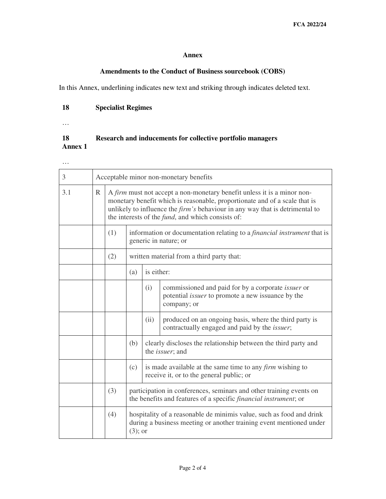### **Annex**

## **Amendments to the Conduct of Business sourcebook (COBS)**

In this Annex, underlining indicates new text and striking through indicates deleted text.

# **18 Specialist Regimes**

…

#### **18 Annex 1 Research and inducements for collective portfolio managers**

…

| 3   |              | Acceptable minor non-monetary benefits                                                                                                                                                                                                                                                                           |                                                                                                                                                           |                                                                                           |                                                                                                                                      |  |  |
|-----|--------------|------------------------------------------------------------------------------------------------------------------------------------------------------------------------------------------------------------------------------------------------------------------------------------------------------------------|-----------------------------------------------------------------------------------------------------------------------------------------------------------|-------------------------------------------------------------------------------------------|--------------------------------------------------------------------------------------------------------------------------------------|--|--|
| 3.1 | $\mathbb{R}$ | A <i>firm</i> must not accept a non-monetary benefit unless it is a minor non-<br>monetary benefit which is reasonable, proportionate and of a scale that is<br>unlikely to influence the <i>firm's</i> behaviour in any way that is detrimental to<br>the interests of the <i>fund</i> , and which consists of: |                                                                                                                                                           |                                                                                           |                                                                                                                                      |  |  |
|     |              | (1)                                                                                                                                                                                                                                                                                                              | information or documentation relating to a <i>financial instrument</i> that is<br>generic in nature; or                                                   |                                                                                           |                                                                                                                                      |  |  |
|     |              | (2)                                                                                                                                                                                                                                                                                                              | written material from a third party that:                                                                                                                 |                                                                                           |                                                                                                                                      |  |  |
|     |              |                                                                                                                                                                                                                                                                                                                  | (a)                                                                                                                                                       | is either:                                                                                |                                                                                                                                      |  |  |
|     |              |                                                                                                                                                                                                                                                                                                                  |                                                                                                                                                           | (i)                                                                                       | commissioned and paid for by a corporate <i>issuer</i> or<br>potential <i>issuer</i> to promote a new issuance by the<br>company; or |  |  |
|     |              |                                                                                                                                                                                                                                                                                                                  |                                                                                                                                                           | (ii)                                                                                      | produced on an ongoing basis, where the third party is<br>contractually engaged and paid by the issuer;                              |  |  |
|     |              |                                                                                                                                                                                                                                                                                                                  | (b)                                                                                                                                                       | clearly discloses the relationship between the third party and<br>the <i>issuer</i> ; and |                                                                                                                                      |  |  |
|     |              |                                                                                                                                                                                                                                                                                                                  | (c)                                                                                                                                                       |                                                                                           | is made available at the same time to any <i>firm</i> wishing to<br>receive it, or to the general public; or                         |  |  |
|     |              | (3)                                                                                                                                                                                                                                                                                                              | participation in conferences, seminars and other training events on<br>the benefits and features of a specific <i>financial instrument</i> ; or           |                                                                                           |                                                                                                                                      |  |  |
|     |              | (4)                                                                                                                                                                                                                                                                                                              | hospitality of a reasonable de minimis value, such as food and drink<br>during a business meeting or another training event mentioned under<br>$(3)$ ; or |                                                                                           |                                                                                                                                      |  |  |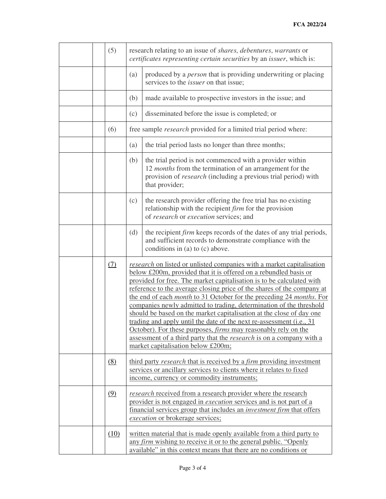| (5)  | research relating to an issue of shares, debentures, warrants or<br>certificates representing certain securities by an issuer, which is:                                                                                                                                                                                                                                                                                                                                                                                                                                                                                                                                                                                                                                                                  |                                                                                                                                                                                                                                                                              |  |
|------|-----------------------------------------------------------------------------------------------------------------------------------------------------------------------------------------------------------------------------------------------------------------------------------------------------------------------------------------------------------------------------------------------------------------------------------------------------------------------------------------------------------------------------------------------------------------------------------------------------------------------------------------------------------------------------------------------------------------------------------------------------------------------------------------------------------|------------------------------------------------------------------------------------------------------------------------------------------------------------------------------------------------------------------------------------------------------------------------------|--|
|      | (a)                                                                                                                                                                                                                                                                                                                                                                                                                                                                                                                                                                                                                                                                                                                                                                                                       | produced by a <i>person</i> that is providing underwriting or placing<br>services to the <i>issuer</i> on that issue;                                                                                                                                                        |  |
|      | (b)                                                                                                                                                                                                                                                                                                                                                                                                                                                                                                                                                                                                                                                                                                                                                                                                       | made available to prospective investors in the issue; and                                                                                                                                                                                                                    |  |
|      | (c)                                                                                                                                                                                                                                                                                                                                                                                                                                                                                                                                                                                                                                                                                                                                                                                                       | disseminated before the issue is completed; or                                                                                                                                                                                                                               |  |
| (6)  | free sample <i>research</i> provided for a limited trial period where:                                                                                                                                                                                                                                                                                                                                                                                                                                                                                                                                                                                                                                                                                                                                    |                                                                                                                                                                                                                                                                              |  |
|      | (a)                                                                                                                                                                                                                                                                                                                                                                                                                                                                                                                                                                                                                                                                                                                                                                                                       | the trial period lasts no longer than three months;                                                                                                                                                                                                                          |  |
|      | (b)                                                                                                                                                                                                                                                                                                                                                                                                                                                                                                                                                                                                                                                                                                                                                                                                       | the trial period is not commenced with a provider within<br>12 <i>months</i> from the termination of an arrangement for the<br>provision of <i>research</i> (including a previous trial period) with<br>that provider;                                                       |  |
|      | (c)                                                                                                                                                                                                                                                                                                                                                                                                                                                                                                                                                                                                                                                                                                                                                                                                       | the research provider offering the free trial has no existing<br>relationship with the recipient firm for the provision<br>of research or execution services; and                                                                                                            |  |
|      | (d)                                                                                                                                                                                                                                                                                                                                                                                                                                                                                                                                                                                                                                                                                                                                                                                                       | the recipient <i>firm</i> keeps records of the dates of any trial periods,<br>and sufficient records to demonstrate compliance with the<br>conditions in (a) to (c) above.                                                                                                   |  |
| (7)  | research on listed or unlisted companies with a market capitalisation<br>below £200m, provided that it is offered on a rebundled basis or<br>provided for free. The market capitalisation is to be calculated with<br>reference to the average closing price of the shares of the company at<br>the end of each <i>month</i> to 31 October for the preceding 24 <i>months</i> . For<br>companies newly admitted to trading, determination of the threshold<br>should be based on the market capitalisation at the close of day one<br>trading and apply until the date of the next re-assessment (i.e., 31)<br>October). For these purposes, <i>firms</i> may reasonably rely on the<br>assessment of a third party that the <i>research</i> is on a company with a<br>market capitalisation below £200m; |                                                                                                                                                                                                                                                                              |  |
| (8)  |                                                                                                                                                                                                                                                                                                                                                                                                                                                                                                                                                                                                                                                                                                                                                                                                           | third party <i>research</i> that is received by a <i>firm</i> providing investment<br>services or ancillary services to clients where it relates to fixed<br>income, currency or commodity instruments;                                                                      |  |
| (9)  |                                                                                                                                                                                                                                                                                                                                                                                                                                                                                                                                                                                                                                                                                                                                                                                                           | <i>research</i> received from a research provider where the research<br>provider is not engaged in <i>execution</i> services and is not part of a<br>financial services group that includes an <i>investment firm</i> that offers<br><i>execution</i> or brokerage services; |  |
| (10) |                                                                                                                                                                                                                                                                                                                                                                                                                                                                                                                                                                                                                                                                                                                                                                                                           | written material that is made openly available from a third party to<br>any <i>firm</i> wishing to receive it or to the general public. "Openly<br>available" in this context means that there are no conditions or                                                          |  |